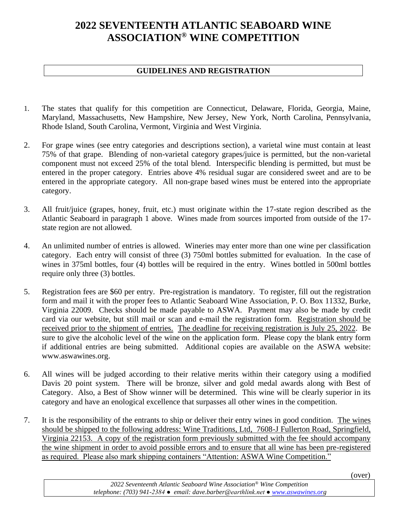## **2022 SEVENTEENTH ATLANTIC SEABOARD WINE ASSOCIATION® WINE COMPETITION**

## **GUIDELINES AND REGISTRATION**

- 1. The states that qualify for this competition are Connecticut, Delaware, Florida, Georgia, Maine, Maryland, Massachusetts, New Hampshire, New Jersey, New York, North Carolina, Pennsylvania, Rhode Island, South Carolina, Vermont, Virginia and West Virginia.
- 2. For grape wines (see entry categories and descriptions section), a varietal wine must contain at least 75% of that grape. Blending of non-varietal category grapes/juice is permitted, but the non-varietal component must not exceed 25% of the total blend. Interspecific blending is permitted, but must be entered in the proper category. Entries above 4% residual sugar are considered sweet and are to be entered in the appropriate category. All non-grape based wines must be entered into the appropriate category.
- 3. All fruit/juice (grapes, honey, fruit, etc.) must originate within the 17-state region described as the Atlantic Seaboard in paragraph 1 above. Wines made from sources imported from outside of the 17 state region are not allowed.
- 4. An unlimited number of entries is allowed. Wineries may enter more than one wine per classification category. Each entry will consist of three (3) 750ml bottles submitted for evaluation. In the case of wines in 375ml bottles, four (4) bottles will be required in the entry. Wines bottled in 500ml bottles require only three (3) bottles.
- 5. Registration fees are \$60 per entry. Pre-registration is mandatory. To register, fill out the registration form and mail it with the proper fees to Atlantic Seaboard Wine Association, P. O. Box 11332, Burke, Virginia 22009. Checks should be made payable to ASWA. Payment may also be made by credit card via our website, but still mail or scan and e-mail the registration form. Registration should be received prior to the shipment of entries. The deadline for receiving registration is July 25, 2022. Be sure to give the alcoholic level of the wine on the application form. Please copy the blank entry form if additional entries are being submitted. Additional copies are available on the ASWA website: www.aswawines.org.
- 6. All wines will be judged according to their relative merits within their category using a modified Davis 20 point system. There will be bronze, silver and gold medal awards along with Best of Category. Also, a Best of Show winner will be determined. This wine will be clearly superior in its category and have an enological excellence that surpasses all other wines in the competition.
- 7. It is the responsibility of the entrants to ship or deliver their entry wines in good condition. The wines should be shipped to the following address: Wine Traditions, Ltd, 7608-J Fullerton Road, Springfield, Virginia 22153. A copy of the registration form previously submitted with the fee should accompany the wine shipment in order to avoid possible errors and to ensure that all wine has been pre-registered as required. Please also mark shipping containers "Attention: ASWA Wine Competition."

(over)